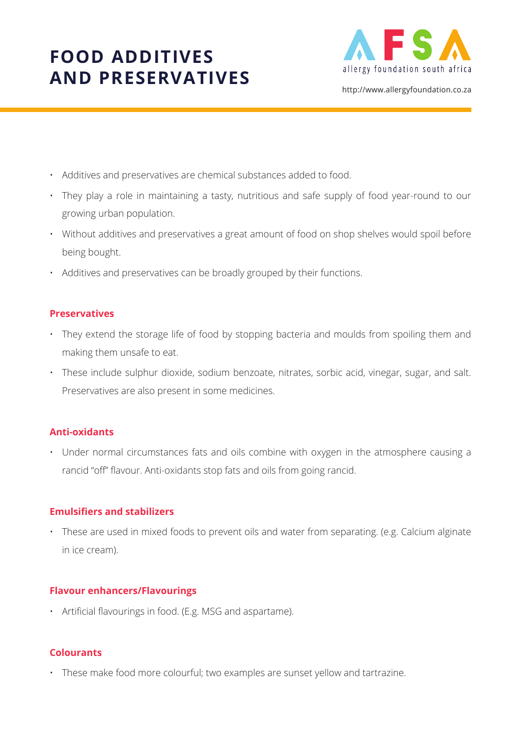

http://www.allergyfoundation.co.za

- Additives and preservatives are chemical substances added to food.
- They play a role in maintaining a tasty, nutritious and safe supply of food year-round to our growing urban population.
- Without additives and preservatives a great amount of food on shop shelves would spoil before being bought.
- Additives and preservatives can be broadly grouped by their functions.

### **Preservatives**

- They extend the storage life of food by stopping bacteria and moulds from spoiling them and making them unsafe to eat.
- These include sulphur dioxide, sodium benzoate, nitrates, sorbic acid, vinegar, sugar, and salt. Preservatives are also present in some medicines.

## **Anti-oxidants**

• Under normal circumstances fats and oils combine with oxygen in the atmosphere causing a rancid "off" flavour. Anti-oxidants stop fats and oils from going rancid.

#### **Emulsifiers and stabilizers**

• These are used in mixed foods to prevent oils and water from separating. (e.g. Calcium alginate in ice cream).

## **Flavour enhancers/Flavourings**

• Artificial flavourings in food. (E.g. MSG and aspartame).

## **Colourants**

• These make food more colourful; two examples are sunset yellow and tartrazine.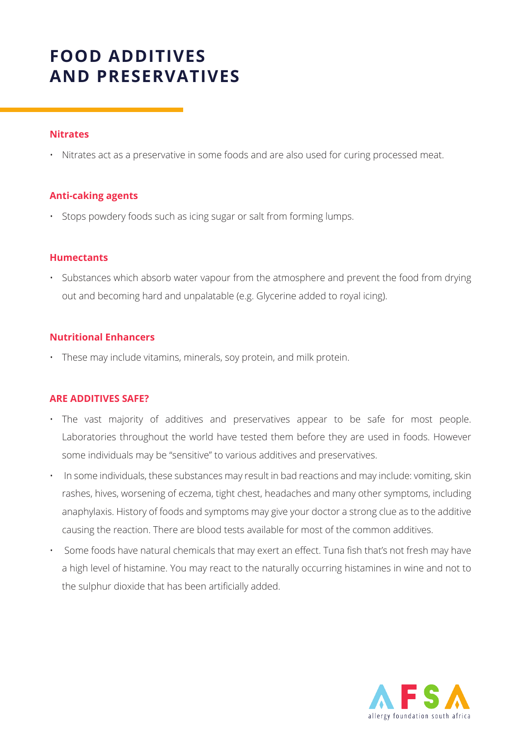#### **Nitrates**

• Nitrates act as a preservative in some foods and are also used for curing processed meat.

#### **Anti-caking agents**

• Stops powdery foods such as icing sugar or salt from forming lumps.

#### **Humectants**

• Substances which absorb water vapour from the atmosphere and prevent the food from drying out and becoming hard and unpalatable (e.g. Glycerine added to royal icing).

#### **Nutritional Enhancers**

• These may include vitamins, minerals, soy protein, and milk protein.

#### **ARE ADDITIVES SAFE?**

- The vast majority of additives and preservatives appear to be safe for most people. Laboratories throughout the world have tested them before they are used in foods. However some individuals may be "sensitive" to various additives and preservatives.
- In some individuals, these substances may result in bad reactions and may include: vomiting, skin rashes, hives, worsening of eczema, tight chest, headaches and many other symptoms, including anaphylaxis. History of foods and symptoms may give your doctor a strong clue as to the additive causing the reaction. There are blood tests available for most of the common additives.
- Some foods have natural chemicals that may exert an effect. Tuna fish that's not fresh may have a high level of histamine. You may react to the naturally occurring histamines in wine and not to the sulphur dioxide that has been artificially added.

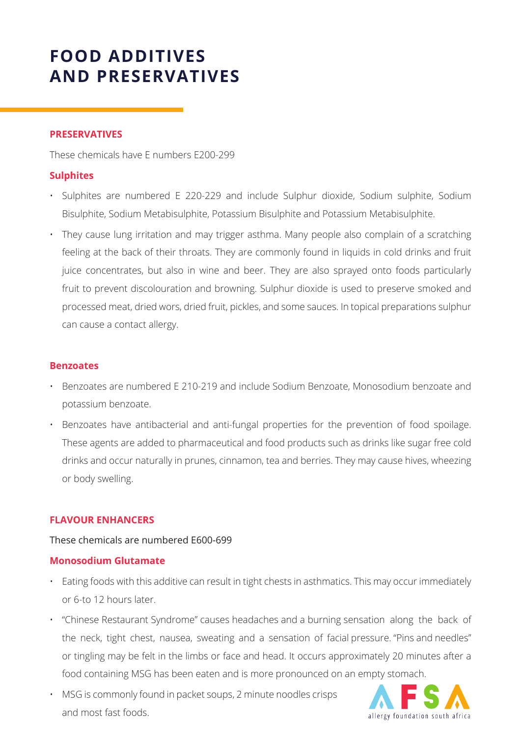#### **PRESERVATIVES**

These chemicals have E numbers E200-299

### **Sulphites**

- Sulphites are numbered E 220-229 and include Sulphur dioxide, Sodium sulphite, Sodium Bisulphite, Sodium Metabisulphite, Potassium Bisulphite and Potassium Metabisulphite.
- They cause lung irritation and may trigger asthma. Many people also complain of a scratching feeling at the back of their throats. They are commonly found in liquids in cold drinks and fruit juice concentrates, but also in wine and beer. They are also sprayed onto foods particularly fruit to prevent discolouration and browning. Sulphur dioxide is used to preserve smoked and processed meat, dried wors, dried fruit, pickles, and some sauces. In topical preparations sulphur can cause a contact allergy.

#### **Benzoates**

- Benzoates are numbered E 210-219 and include Sodium Benzoate, Monosodium benzoate and potassium benzoate.
- Benzoates have antibacterial and anti-fungal properties for the prevention of food spoilage. These agents are added to pharmaceutical and food products such as drinks like sugar free cold drinks and occur naturally in prunes, cinnamon, tea and berries. They may cause hives, wheezing or body swelling.

#### **FLAVOUR ENHANCERS**

#### These chemicals are numbered E600-699

#### **Monosodium Glutamate**

- Eating foods with this additive can result in tight chests in asthmatics. This may occur immediately or 6-to 12 hours later.
- "Chinese Restaurant Syndrome" causes headaches and a burning sensation along the back of the neck, tight chest, nausea, sweating and a sensation of facial pressure. "Pins and needles" or tingling may be felt in the limbs or face and head. It occurs approximately 20 minutes after a food containing MSG has been eaten and is more pronounced on an empty stomach.
- MSG is commonly found in packet soups, 2 minute noodles crisps and most fast foods.